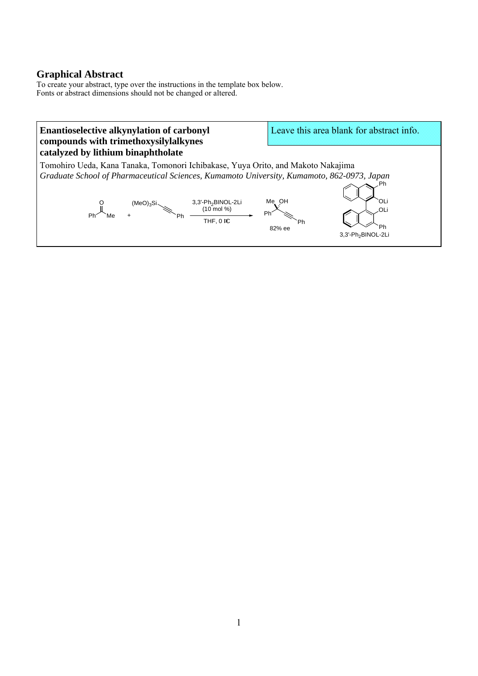## **Graphical Abstract**

To create your abstract, type over the instructions in the template box below. Fonts or abstract dimensions should not be changed or altered.

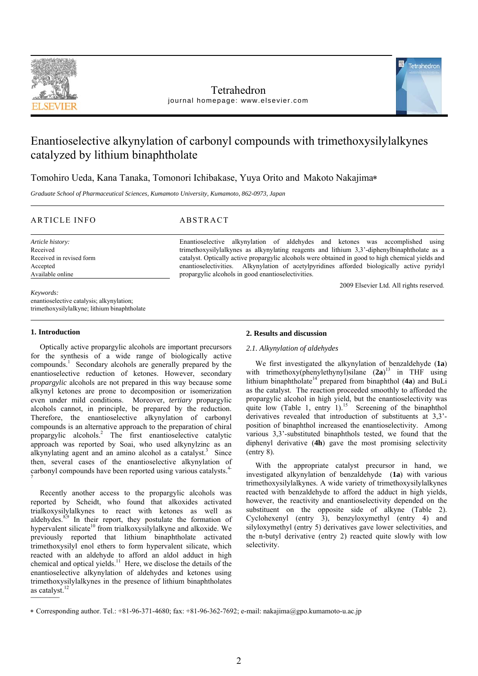

## Tetrahedron journal homepage: www.elsevier.com



# Enantioselective alkynylation of carbonyl compounds with trimethoxysilylalkynes catalyzed by lithium binaphtholate

Tomohiro Ueda, Kana Tanaka, Tomonori Ichibakase, Yuya Orito and Makoto Nakajima

*Graduate School of Pharmaceutical Sciences, Kumamoto University, Kumamoto, 862-0973, Japan* 

## ARTICLE INFO ABSTRACT

*Article history:*  Received Received in revised form Accepted Available online

Enantioselective alkynylation of aldehydes and ketones was accomplished using trimethoxysilylalkynes as alkynylating reagents and lithium 3,3'-diphenylbinaphtholate as a catalyst. Optically active propargylic alcohols were obtained in good to high chemical yields and enantioselectivities. Alkynylation of acetylpyridines afforded biologically active pyridyl propargylic alcohols in good enantioselectivities.

2009 Elsevier Ltd. All rights reserved.

# *Keywords:*

enantioselective catalysis; alkynylation; trimethoxysilylalkyne; lithium binaphtholate

## **1. Introduction**

Optically active propargylic alcohols are important precursors for the synthesis of a wide range of biologically active compounds.<sup>1</sup> Secondary alcohols are generally prepared by the enantioselective reduction of ketones. However, secondary *propargylic* alcohols are not prepared in this way because some alkynyl ketones are prone to decomposition or isomerization even under mild conditions. Moreover, *tertiary* propargylic alcohols cannot, in principle, be prepared by the reduction. Therefore, the enantioselective alkynylation of carbonyl compounds is an alternative approach to the preparation of chiral propargylic alcohols.<sup>2</sup> The first enantioselective catalytic approach was reported by Soai, who used alkynylzinc as an alkynylating agent and an amino alcohol as a catalyst. $3$  Since then, several cases of the enantioselective alkynylation of carbonyl compounds have been reported using various catalysts.<sup>4-</sup> 7

 $\frac{1}{\sqrt{1-\frac{1}{2}}\sqrt{1-\frac{1}{2}}\sqrt{1-\frac{1}{2}}\sqrt{1-\frac{1}{2}}\sqrt{1-\frac{1}{2}}\sqrt{1-\frac{1}{2}}\sqrt{1-\frac{1}{2}}\sqrt{1-\frac{1}{2}}\sqrt{1-\frac{1}{2}}\sqrt{1-\frac{1}{2}}\sqrt{1-\frac{1}{2}}\sqrt{1-\frac{1}{2}}\sqrt{1-\frac{1}{2}}\sqrt{1-\frac{1}{2}}\sqrt{1-\frac{1}{2}}\sqrt{1-\frac{1}{2}}\sqrt{1-\frac{1}{2}}\sqrt{1-\frac{1}{2}}\sqrt{1-\frac{1}{2}}\sqrt{1-\frac$ Recently another access to the propargylic alcohols was reported by Scheidt, who found that alkoxides activated trialkoxysilylalkynes to react with ketones as well as aldehydes. $859$  In their report, they postulate the formation of hypervalent silicate<sup>10</sup> from trialkoxysilylalkyne and alkoxide. We previously reported that lithium binaphtholate activated trimethoxysilyl enol ethers to form hypervalent silicate, which reacted with an aldehyde to afford an aldol adduct in high chemical and optical yields.<sup>11</sup> Here, we disclose the details of the enantioselective alkynylation of aldehydes and ketones using trimethoxysilylalkynes in the presence of lithium binaphtholates as catalyst. $12$ 

## **2. Results and discussion**

#### *2.1. Alkynylation of aldehydes*

We first investigated the alkynylation of benzaldehyde (**1a**) with trimethoxy(phenylethynyl)silane (**2a**) 13 in THF using lithium binaphtholate<sup>14</sup> prepared from binaphthol  $(4a)$  and BuLi as the catalyst. The reaction proceeded smoothly to afforded the propargylic alcohol in high yield, but the enantioselectivity was quite low (Table 1, entry 1).<sup>15</sup> Screening of the binaphthol derivatives revealed that introduction of substituents at 3,3' position of binaphthol increased the enantioselectivity. Among various 3,3'-substituted binaphthols tested, we found that the diphenyl derivative (**4h**) gave the most promising selectivity (entry 8).

With the appropriate catalyst precursor in hand, we investigated alkynylation of benzaldehyde (**1a**) with various trimethoxysilylalkynes. A wide variety of trimethoxysilylalkynes reacted with benzaldehyde to afford the adduct in high yields, however, the reactivity and enantioselectivity depended on the substituent on the opposite side of alkyne (Table 2). Cyclohexenyl (entry 3), benzyloxymethyl (entry 4) and silyloxymethyl (entry 5) derivatives gave lower selectivities, and the n-butyl derivative (entry 2) reacted quite slowly with low selectivity.

<sup>\*</sup> Corresponding author. Tel.:  $+81-96-371-4680$ : fax:  $+81-96-362-7692$ : e-mail: nakajima@gpo.kumamoto-u.ac.jp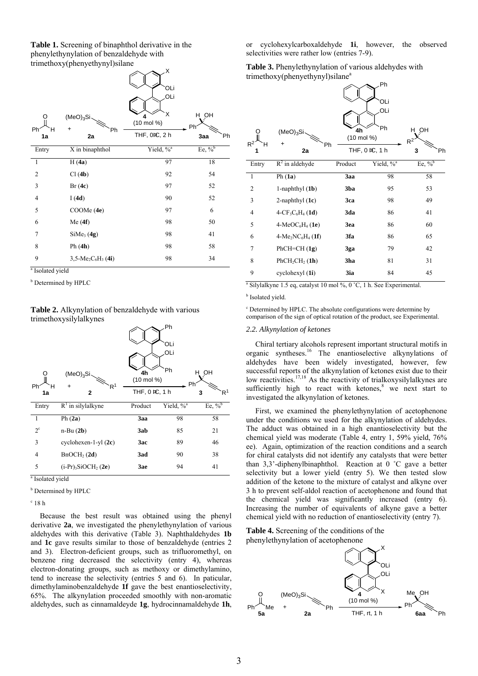**Table 1.** Screening of binaphthol derivative in the phenylethynylation of benzaldehyde with trimethoxy(phenyethynyl)silane



<sup>a</sup> Isolated yield

**b** Determined by HPLC

## **Table 2.** Alkynylation of benzaldehyde with various trimethoxysilylalkynes

| Ph <sup>®</sup><br>н<br>1a  | (MeO) <sub>3</sub> Si<br>R <sup>1</sup><br>$\mathbf 2$ | 4h<br>(10 mol %)<br>THF, 0 EC, 1 h | Ph<br>OLi<br>OLi<br>Ph<br>Ph | OH<br>н<br>R <sup>1</sup><br>3 |
|-----------------------------|--------------------------------------------------------|------------------------------------|------------------------------|--------------------------------|
| Entry                       | $R^1$ in silylalkyne                                   | Product                            | Yield, % <sup>a</sup>        | Ee, $\sqrt[9]{6}$              |
| 1                           | Ph $(2a)$                                              | 3aa                                | 98                           | 58                             |
| $2^{\circ}$                 | $n-Bu(2b)$                                             | 3ab                                | 85                           | 21                             |
| 3                           | $cyclohexen-1-yl(2c)$                                  | 3ac                                | 89                           | 46                             |
| $\overline{4}$              | BnOCH <sub>2</sub> (2d)                                | 3ad                                | 90                           | 38                             |
| 5                           | $(i-Pr)_{3}SiOCH_{2} (2e)$                             | 3ae                                | 94                           | 41                             |
| <sup>a</sup> Isolated yield |                                                        |                                    |                              |                                |

**b** Determined by HPLC

 $^{\rm c}$  18 h

Because the best result was obtained using the phenyl derivative **2a**, we investigated the phenylethynylation of various aldehydes with this derivative (Table 3). Naphthaldehydes **1b** and **1c** gave results similar to those of benzaldehyde (entries 2 and 3). Electron-deficient groups, such as trifluoromethyl, on benzene ring decreased the selectivity (entry 4), whereas electron-donating groups, such as methoxy or dimethylamino, tend to increase the selectivity (entries 5 and 6). In paticular, dimethylaminobenzaldehyde **1f** gave the best enantioselectivity, 65%. The alkynylation proceeded smoothly with non-aromatic aldehydes, such as cinnamaldeyde **1g**, hydrocinnamaldehyde **1h**,

or cyclohexylcarboxaldehyde **1i**, however, the observed selectivities were rather low (entries 7-9).

**Table 3.** Phenylethynylation of various aldehydes with trimethoxy(phenyethynyl)silane<sup>a</sup>



<sup>a</sup> Silylalkyne 1.5 eq, catalyst 10 mol %, 0 °C, 1 h. See Experimental.

#### **b** Isolated yield.

c Determined by HPLC. The absolute configurations were determine by comparison of the sign of optical rotation of the product, see Experimental.

## *2.2. Alkynylation of ketones*

Chiral tertiary alcohols represent important structural motifs in organic syntheses.16 The enantioselective alkynylations of aldehydes have been widely investigated, however, few successful reports of the alkynylation of ketones exist due to their low reactivities.<sup>17,18</sup> As the reactivity of trialkoxysilylalkynes are sufficiently high to react with ketones, $8$  we next start to investigated the alkynylation of ketones.

First, we examined the phenylethynylation of acetophenone under the conditions we used for the alkynylation of aldehydes. The adduct was obtained in a high enantioselectivity but the chemical yield was moderate (Table 4, entry 1, 59% yield, 76% ee). Again, optimization of the reaction conditions and a search for chiral catalysts did not identify any catalysts that were better than 3,3'-diphenylbinaphthol. Reaction at 0 ˚C gave a better selectivity but a lower yield (entry 5). We then tested slow addition of the ketone to the mixture of catalyst and alkyne over 3 h to prevent self-aldol reaction of acetophenone and found that the chemical yield was significantly increased (entry 6). Increasing the number of equivalents of alkyne gave a better chemical yield with no reduction of enantioselectivity (entry 7).

## **Table 4.** Screening of the conditions of the phenylethynylation of acetophenone

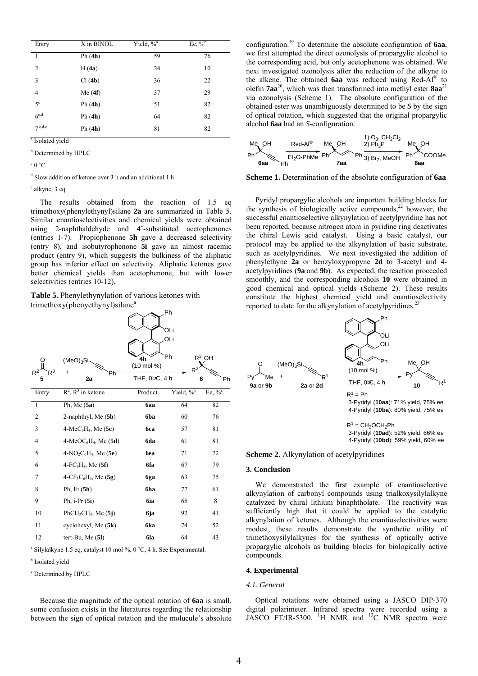| Entry                       | X in BINOL | Yield, % <sup>a</sup> | Ee, $\sqrt[9]{6}$ |  |
|-----------------------------|------------|-----------------------|-------------------|--|
| 1                           | Ph(4h)     | 59                    | 76                |  |
| 2                           | H(4a)      | 24                    | 10                |  |
| 3                           | Cl(4b)     | 36                    | 22                |  |
| 4                           | Me(4f)     | 37                    | 29                |  |
| $5^{\circ}$                 | Ph(4h)     | 51                    | 82                |  |
| $6^{c,d}$                   | Ph(4h)     | 64                    | 82                |  |
| $7$ c,d,e                   | Ph(4h)     | 81                    | 82                |  |
| <sup>a</sup> Isolated yield |            |                       |                   |  |

**b** Determined by HPLC

 $\degree$  0  $\degree$ C

d Slow addition of ketone over 3 h and an additional 1 h

e alkyne, 3 eq

The results obtained from the reaction of 1.5 eq trimethoxy(phenylethynyl)silane **2a** are summarized in Table 5. Similar enantioselectivities and chemical yields were obtained using 2-naphthaldehyde and 4'-substituted acetophenones (entries 1-7). Propiophenone **5h** gave a decreased selectivity (entry 8), and isobutyrophenone **5i** gave an almost racemic product (entry 9), which suggests the bulkiness of the aliphatic group has inferior effect on selectivity. Aliphatic ketones gave better chemical yields than acetophenone, but with lower selectivities (entries 10-12).

**Table 5.** Phenylethynylation of various ketones with trimethoxy(phenyethynyl)silane<sup>a</sup>

| R <sup>3</sup><br>$R^2$<br>5 | (MeO) <sub>3</sub> Si<br>Ph<br>2a | Ph<br>OLi<br>OLi<br>Ph<br>4h<br>(10 mol %)<br>THF, 0PC, 4 h | $R^2$                 | $R^3$ OH<br>6                  |
|------------------------------|-----------------------------------|-------------------------------------------------------------|-----------------------|--------------------------------|
| Entry                        | $R^2$ , $R^3$ in ketone           | Product                                                     | Yield, $\sqrt[6]{\ }$ | Ee, $\sqrt[9]{6}$ <sup>c</sup> |
| $\mathbf{1}$                 | Ph, Me $(5a)$                     | 6aa                                                         | 64                    | 82                             |
| 2                            | 2-naphthyl, Me (5b)               | 6ba                                                         | 60                    | 76                             |
| 3                            | $4-MeC_6H_4$ , Me $(5c)$          | 6ca                                                         | 57                    | 81                             |
| 4                            | $4-MeOC6H4$ , Me (5d)             | 6da                                                         | 61                    | 81                             |
| 5                            | $4\text{-}NO_2C_6H_4$ , Me (5e)   | 6ea                                                         | 71                    | 72                             |
| 6                            | $4 - FC_6H_4$ , Me (5f)           | 6fa                                                         | 67                    | 79                             |
| 7                            | $4-CF_3C_6H_4$ , Me (5g)          | 6ga                                                         | 63                    | 75                             |
| 8                            | Ph, $Et(5h)$                      | 6ha                                                         | 77                    | 61                             |
| 9                            | Ph, $i-Pr(5i)$                    | 6ia                                                         | 65                    | 8                              |
| 10                           | $PhCH_2CH_2$ , Me $(5j)$          | 6ja                                                         | 92                    | 41                             |
| 11                           | cyclohexyl, Me $(5k)$             | 6ka                                                         | 74                    | 52                             |
| 12                           | tert-Bu, Me $(5I)$                | 6la                                                         | 64                    | 43                             |
|                              |                                   |                                                             |                       |                                |

<sup>a</sup> Silylalkyne 1.5 eq, catalyst 10 mol %, 0 °C, 4 h. See Experimental.

**b** Isolated yield

c Determined by HPLC

Because the magnitude of the optical rotation of **6aa** is small, some confusion exists in the literatures regarding the relationship between the sign of optical rotation and the molucule's absolute

configuration.19 To determine the absolute configuration of **6aa**, we first attempted the direct ozonolysis of propargylic alcohol to the corresponding acid, but only acetophenone was obtained. We next investigated ozonolysis after the reduction of the alkyne to the alkene. The obtained **6aa** was reduced using Red-Al® to olefin **7aa**20, which was then transformed into methyl ester **8aa**<sup>21</sup> via ozonolysis (Scheme 1). The absolute configuration of the obtained ester was unambiguously determined to be *S* by the sign of optical rotation, which suggested that the original propargylic alcohol **6aa** had an *S*-configuration.



**Scheme 1.** Determination of the absolute configuration of **6aa**

Pyridyl propargylic alcohols are important building blocks for the synthesis of biologically active compounds, $^{22}$  however, the successful enantioselective alkynylation of acetylpyridine has not been reported, because nitrogen atom in pyridine ring deactivates the chiral Lewis acid catalyst. Using a basic catalyst, our protocol may be applied to the alkynylation of basic substrate, such as acetylpyridines. We next investigated the addition of phenylethyne **2a** or benzyloxypropyne **2d** to 3-acetyl and 4 acetylpyridines (**9a** and **9b**). As expected, the reaction proceeded smoothly, and the corresponding alcohols **10** were obtained in good chemical and optical yields (Scheme 2). These results constitute the highest chemical yield and enantioselectivity reported to date for the alkynylation of acetylpyridines.<sup>2</sup>



**Scheme 2.** Alkynylation of acetylpyridines

## **3. Conclusion**

We demonstrated the first example of enantioselective alkynylation of carbonyl compounds using trialkoxysilylalkyne catalyzed by chiral lithium binaphtholate. The reactivity was sufficiently high that it could be applied to the catalytic alkynylation of ketones. Although the enantioselectivities were modest, these results demonstrate the synthetic utility of trimethoxysilylalkynes for the synthesis of optically active propargylic alcohols as building blocks for biologically active compounds.

## **4. Experimental**

#### *4.1. General*

Optical rotations were obtained using a JASCO DIP-370 digital polarimeter. Infrared spectra were recorded using a JASCO FT/IR-5300.  ${}^{1}H$  NMR and  ${}^{13}C$  NMR spectra were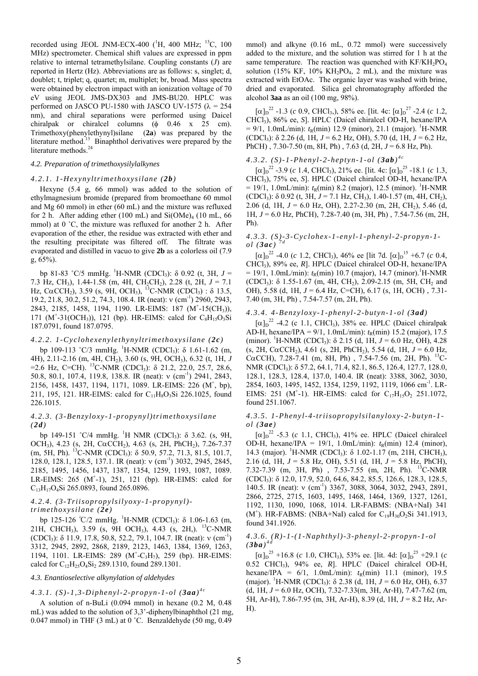recorded using JEOL JNM-ECX-400 ( ${}^{1}H$ , 400 MHz;  ${}^{13}C$ , 100 MHz) spectrometer. Chemical shift values are expressed in ppm relative to internal tetramethylsilane. Coupling constants (*J*) are reported in Hertz (Hz). Abbreviations are as follows: s, singlet; d, doublet; t, triplet; q, quartet; m, multiplet; br, broad. Mass spectra were obtained by electron impact with an ionization voltage of 70 eV using JEOL JMS-DX303 and JMS-BU20. HPLC was performed on JASCO PU-1580 with JASCO UV-1575 ( $\lambda = 254$ ) nm), and chiral separations were performed using Daicel chiralpak or chiralcel columns  $(\phi \quad 0.46 \quad x \quad 25 \quad cm)$ . Trimethoxy(phenylethynyl)silane (**2a**) was prepared by the literature method.<sup>13</sup> Binaphthol derivatives were prepared by the literature methods.<sup>24</sup>

#### *4.2. Preparation of trimethoxysilylalkynes*

## *4.2.1. 1-Hexynyltrimethoxysilane (2 b)*

Hexyne (5.4 g, 66 mmol) was added to the solution of ethylmagnesium bromide (prepared from bromoethane 60 mmol and Mg 60 mmol) in ether (60 mL) and the mixture was refluxed for 2 h. After adding ether (100 mL) and  $Si(OMe)<sub>4</sub>$  (10 mL, 66 mmol) at 0 °C, the mixture was refluxed for another 2 h. After evaporation of the ether, the residue was extracted with ether and the resulting precipitate was filtered off. The filtrate was evaporated and distilled in vacuo to give **2b** as a colorless oil (7.9 g, 65%).

bp 81-83 °C/5 mmHg. <sup>1</sup>H-NMR (CDCl<sub>3</sub>): δ 0.92 (t, 3H,  $J =$ 7.3 Hz, CH<sub>3</sub>), 1.44-1.58 (m, 4H, CH<sub>2</sub>CH<sub>2</sub>), 2.28 (t, 2H,  $J = 7.1$ Hz, C $\alpha$ CCH<sub>2</sub>), 3.59 (s, 9H, OCH<sub>3</sub>), <sup>13</sup>C-NMR (CDCl<sub>3</sub>) :  $\delta$  13.5, 19.2, 21.8, 30.2, 51.2, 74.3, 108.4. IR (neat):  $v$  (cm<sup>-1</sup>) 2960, 2943, 2843, 2185, 1458, 1194, 1190. LR-EIMS: 187 (M<sup>+</sup>-15(CH<sub>3</sub>)), 171 ( $M^+$ -31(OCH<sub>3</sub>)), 121 (bp). HR-EIMS: calcd for C<sub>8</sub>H<sub>15</sub>O<sub>3</sub>Si 187.0791, found 187.0795.

#### *4.2.2. 1-Cyclohexenylethynyltrimethoxysilane (2c)*

bp 109-113 °C/3 mmHg. <sup>1</sup>H-NMR (CDCl<sub>3</sub>): δ 1.61-1.62 (m, 4H), 2.11-2.16 (m, 4H, CH2), 3.60 (s, 9H, OCH3), 6.32 (t, 1H, *J*  $=2.6$  Hz, C=CH). <sup>13</sup>C-NMR (CDCl<sub>3</sub>):  $\delta$  21.2, 22.0, 25.7, 28.6, 50.8, 80.1, 107.4, 119.8, 138.8. IR (neat): v (cm<sup>-1</sup>) 2941, 2843, 2156, 1458, 1437, 1194, 1171, 1089. LR-EIMS: 226 (M<sup>+</sup>, bp), 211, 195, 121. HR-EIMS: calcd for  $C_{11}H_8O_3Si$  226.1025, found 226.1015.

## *4.2.3. (3-Benzyloxy-1-propynyl)trimethoxysilane (2 d)*

bp 149-151 °C/4 mmHg. <sup>1</sup>H NMR (CDCl<sub>3</sub>):  $\delta$  3.62. (s, 9H, OCH<sub>3</sub>), 4.23 (s, 2H, C $\alpha$ CCH<sub>2</sub>), 4.63 (s, 2H, PhCH<sub>2</sub>), 7.26-7.37  $(m, 5H, Ph)$ . <sup>13</sup>C-NMR (CDCl<sub>3</sub>):  $\delta$  50.9, 57.2, 71.3, 81.5, 101.7, 128.0, 128.1, 128.5, 137.1. IR (neat):  $v$  (cm<sup>-1</sup>) 3032, 2945, 2845, 2185, 1495, 1456, 1437, 1387, 1354, 1259, 1193, 1087, 1089. LR-EIMS:  $265$  (M<sup>+</sup>-1),  $251$ ,  $121$  (bp). HR-EIMS: calcd for  $C_{13}H_{17}O_4Si$  265.0893, found 265.0896.

#### *4.2.4. (3-Triisopropylsilyoxy-1-propynyl) trimethoxysilane (2e)*

bp 125-126 °C/2 mmHg. <sup>1</sup>H-NMR (CDCl<sub>3</sub>): δ 1.06-1.63 (m, 21H, CHCH<sub>3</sub>), 3.59 (s, 9H OCH<sub>3</sub>), 4.43 (s, 2H<sub>1</sub>). <sup>13</sup>C-NMR (CDCl<sub>3</sub>):  $\delta$  11.9, 17.8, 50.8, 52.2, 79.1, 104.7. IR (neat):  $v$  (cm<sup>-1</sup>) 3312, 2945, 2892, 2868, 2189, 2123, 1463, 1384, 1369, 1263, 1194, 1101. LR-EIMS: 289 (M<sup>+</sup>-C<sub>3</sub>H<sub>7</sub>), 259 (bp). HR-EIMS: calcd for  $C_{12}H_{25}O_4Si_2$  289.1310, found 289.1301.

#### *4.3. Enantioselective alkynylation of aldehydes*

## *4.3.1. (S)-1,3-Diphenyl-2-propyn-1-ol (3aa) 4 c*

A solution of n-BuLi (0.094 mmol) in hexane (0.2 M, 0.48 mL) was added to the solution of 3,3'-diphenylbinaphthol (21 mg, 0.047 mmol) in THF (3 mL) at 0 ˚C. Benzaldehyde (50 mg, 0.49

mmol) and alkyne (0.16 mL, 0.72 mmol) were successively added to the mixture, and the solution was stirred for 1 h at the same temperature. The reaction was quenched with  $KF/KH_2PO_4$ solution (15% KF, 10% KH<sub>2</sub>PO<sub>4</sub>, 2 mL), and the mixture was extracted with EtOAc. The organic layer was washed with brine, dried and evaporated. Silica gel chromatography afforded the alcohol **3aa** as an oil (100 mg, 98%).

 $[\alpha]_{\text{D}}^{22}$  -1.3 (*c* 0.9, CHCl<sub>3</sub>,), 58% ee. [lit. 4c:  $[\alpha]_{\text{D}}^{27}$  -2.4 (*c* 1.2, CHCl3), 86% ee, *S*]. HPLC (Daicel chiralcel OD-H, hexane/IPA  $= 9/1$ , 1.0mL/min):  $t_R$ (min) 12.9 (minor), 21.1 (major). <sup>1</sup>H-NMR (CDCl<sub>3</sub>):  $\delta$  2.26 (d, 1H,  $J = 6.2$  Hz, OH), 5.70 (d, 1H,  $J = 6.2$  Hz, PhCH) , 7.30-7.50 (m, 8H, Ph) , 7.63 (d, 2H, *J* = 6.8 Hz, Ph).

## *4.3.2. (S)-1-Phenyl-2-heptyn-1-ol (3ab) 4 c*

 $[\alpha]_{\text{D}}^{22}$  -3.9 (*c* 1.4, CHCl<sub>3</sub>), 21% ee. [lit. 4c:  $[\alpha]_{\text{D}}^{25}$  -18.1 (*c* 1.3, CHCl3), 75% ee, *S*]. HPLC (Daicel chiralcel OD-H, hexane/IPA  $= 19/1, 1.0$ mL/min):  $t_R$ (min) 8.2 (major), 12.5 (minor). <sup>1</sup>H-NMR (CDCl3): δ 0.92 (t, 3H, *J* = 7.1 Hz, CH3), 1.40-1.57 (m, 4H, CH2), 2.06 (d, 1H, *J* = 6.0 Hz, OH), 2.27-2.30 (m, 2H, CH2), 5.46 (d, 1H, *J* = 6.0 Hz, PhCH), 7.28-7.40 (m, 3H, Ph) , 7.54-7.56 (m, 2H, Ph).

## *4.3.3. (S)-3-Cyclohex-1-enyl-1-phenyl-2-propyn-1*  $ol$  ( $3ac$ )

 $[\alpha]_D^{22}$  -4.0 (*c* 1.2, CHCl<sub>3</sub>), 46% ee [lit 7d.  $[\alpha]_D^{15}$  +6.7 (*c* 0.4, CHCl3), 89% ee, *R*]. HPLC (Daicel chiralcel OD-H, hexane/IPA  $= 19/1, 1.0$ mL/min):  $t_R$ (min) 10.7 (major), 14.7 (minor).<sup>1</sup>H-NMR (CDCl<sub>3</sub>):  $\delta$  1.55-1.67 (m, 4H, CH<sub>2</sub>), 2.09-2.15 (m, 5H, CH<sub>2</sub> and OH), 5.58 (d, 1H, *J* = 6.4 Hz, C=CH), 6.17 (s, 1H, OCH) , 7.31- 7.40 (m, 3H, Ph) , 7.54-7.57 (m, 2H, Ph).

#### *4.3.4. 4-Benzyloxy-1-phenyl-2-butyn-1-ol (3ad)*

 $[\alpha]_D^{22}$  -4.2 (c 1.1, CHCl<sub>3</sub>), 38% ee. HPLC (Daicel chiralpak AD-H, hexane/IPA = 9/1, 1.0mL/min): *t*<sub>R</sub>(min) 15.2 (major), 17.5 (minor). <sup>1</sup>H-NMR (CDCl<sub>3</sub>): δ 2.15 (d, 1H,  $J = 6.0$  Hz, OH), 4.28 (s, 2H, C $\alpha$ CCH<sub>2</sub>), 4.61 (s, 2H, PhCH<sub>2</sub>), 5.54 (d, 1H,  $J = 6.0$  Hz, C $\alpha$ CCH), 7.28-7.41 (m, 8H, Ph), 7.54-7.56 (m, 2H, Ph). <sup>13</sup>C-NMR (CDCl<sub>3</sub>): δ 57.2, 64.1, 71.4, 82.1, 86.5, 126.4, 127.7, 128.0, 128.1, 128.3, 128.4, 137.0, 140.4. IR (neat): 3388, 3062, 3030, 2854, 1603, 1495, 1452, 1354, 1259, 1192, 1119, 1066 cm<sup>-1</sup>. LR-EIMS: 251 (M<sup>+</sup>-1). HR-EIMS: calcd for C<sub>17</sub>H<sub>15</sub>O<sub>2</sub> 251.1072, found 251.1067.

## *4.3.5. 1-Phenyl-4-triisopropylsilanyloxy-2-butyn-1 ol (3ae)*

 $[\alpha]_D^{22}$  -5.3 (*c* 1.1, CHCl<sub>3</sub>), 41% ee. HPLC (Daicel chiralcel OD-H, hexane/IPA = 19/1, 1.0mL/min):  $t_R$ (min) 12.4 (minor), 14.3 (major). <sup>1</sup>H-NMR (CDCl<sub>3</sub>): δ 1.02-1.17 (m, 21H, CHCH<sub>3</sub>), 2.16 (d, 1H, *J* = 5.8 Hz, OH), 5.51 (d, 1H, *J* = 5.8 Hz, PhCH), 7.32-7.39 (m, 3H, Ph) , 7.53-7.55 (m, 2H, Ph). 13C-NMR (CDCl3): δ 12.0, 17.9, 52.0, 64.6, 84.2, 85.5, 126.6, 128.3, 128.5, 140.5. IR (neat): v (cm<sup>-1</sup>) 3367, 3088, 3064, 3032, 2943, 2891, 2866, 2725, 2715, 1603, 1495, 1468, 1464, 1369, 1327, 1261, 1192, 1130, 1090, 1068, 1014. LR-FABMS: (NBA+NaI) 341  $(M^{\dagger})$ . HR-FABMS: (NBA+NaI) calcd for C<sub>19</sub>H<sub>30</sub>O<sub>2</sub>Si 341.1913, found 341.1926.

#### *4.3.6. (R)-1-(1-Naphthyl)-3-phenyl-2-propyn-1-ol*   $(3ba)^{4a}$

 $[\alpha]_D^{25}$  +16.8 (*c* 1.0, CHCl<sub>3</sub>), 53% ee. [lit. 4d:  $[\alpha]_D^{25}$  +29.1 (*c* 0.52 CHCl3), 94% ee, *R*]. HPLC (Daicel chiralcel OD-H, hexane/IPA = 6/1, 1.0mL/min):  $t_R(\text{min})$  11.1 (minor), 19.5 (major). <sup>1</sup>H-NMR (CDCl<sub>3</sub>): δ 2.38 (d, 1H,  $J = 6.0$  Hz, OH), 6.37 (d, 1H, *J* = 6.0 Hz, OCH), 7.32-7.33(m, 3H, Ar-H), 7.47-7.62 (m, 5H, Ar-H), 7.86-7.95 (m, 3H, Ar-H), 8.39 (d, 1H, *J* = 8.2 Hz, Ar-H).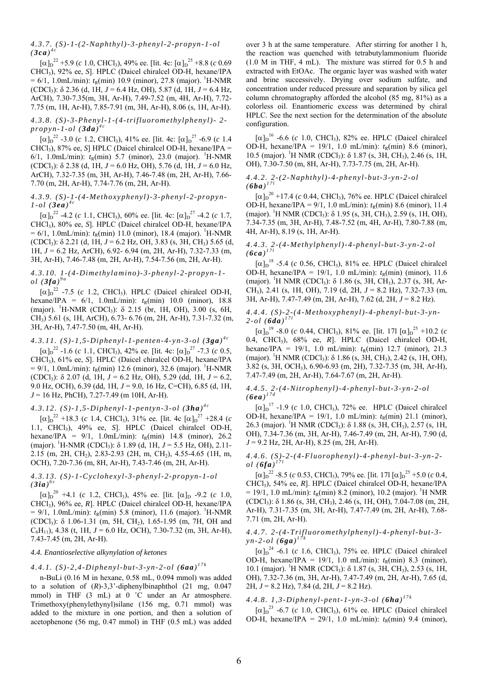*4.3.7. (S)-1-(2-Naphthyl)-3-phenyl-2-propyn-1-ol*   $(3ca)^{4c}$ 

 $[\alpha]_{\text{D}}^{22}$  +5.9 (*c* 1.0, CHCl<sub>3</sub>), 49% ee. [lit. 4c:  $[\alpha]_{\text{D}}^{25}$  +8.8 (*c* 0.69 CHCl3), 92% ee, *S*]. HPLC (Daicel chiralcel OD-H, hexane/IPA  $= 6/1$ , 1.0mL/min):  $t_R$ (min) 10.9 (minor), 27.8 (major). <sup>1</sup>H-NMR (CDCl3): δ 2.36 (d, 1H, *J* = 6.4 Hz, OH), 5.87 (d, 1H, *J* = 6.4 Hz, ArCH), 7.30-7.35(m, 3H, Ar-H), 7.49-7.52 (m, 4H, Ar-H), 7.72- 7.75 (m, 1H, Ar-H), 7.85-7.91 (m, 3H, Ar-H), 8.06 (s, 1H, Ar-H).

*4.3.8. (S)-3-Phenyl-1-(4-trifluoromethylphenyl)- 2 propyn-1-ol (3da) 4 c*

 $[\alpha]_D^{22}$  -3.0 (*c* 1.2, CHCl<sub>3</sub>), 41% ee. [lit. 4c:  $[\alpha]_D^{27}$  -6.9 (*c* 1.4 CHCl3), 87% ee, *S*] HPLC (Daicel chiralcel OD-H, hexane/IPA = 6/1, 1.0mL/min):  $t_R(\text{min})$  5.7 (minor), 23.0 (major). <sup>1</sup>H-NMR (CDCl<sub>3</sub>):  $\delta$  2.38 (d, 1H,  $J = 6.0$  Hz, OH), 5.76 (d, 1H,  $J = 6.0$  Hz, ArCH), 7.32-7.35 (m, 3H, Ar-H), 7.46-7.48 (m, 2H, Ar-H), 7.66- 7.70 (m, 2H, Ar-H), 7.74-7.76 (m, 2H, Ar-H).

*4.3.9. (S)-1-(4-Methoxyphenyl)-3-phenyl-2-propyn-1-ol*  $(3ea)^{4c}$ 

 $[\alpha]_{\text{D}}^{22}$  -4.2 (*c* 1.1, CHCl<sub>3</sub>), 60% ee. [lit. 4c:  $[\alpha]_{\text{D}}^{27}$  -4.2 (*c* 1.7, CHCl3), 80% ee, *S*]. HPLC (Daicel chiralcel OD-H, hexane/IPA  $= 6/1$ , 1.0mL/min):  $t_R$ (min) 11.0 (minor), 18.4 (major). <sup>1</sup>H-NMR (CDCl<sub>3</sub>):  $\delta$  2.21 (d, 1H,  $J = 6.2$  Hz, OH, 3.83 (s, 3H, CH<sub>3</sub>) 5.65 (d, 1H, *J* = 6.2 Hz, ArCH), 6.92- 6.94 (m, 2H, Ar-H), 7.32-7.33 (m, 3H, Ar-H), 7.46-7.48 (m, 2H, Ar-H), 7.54-7.56 (m, 2H, Ar-H).

*4.3.10. 1-(4-Dimethylamino)-3-phenyl-2-propyn-1*  $ol$   $(3fa)^{9a}$ 

 $[\alpha]_D^{22}$  -7.5 (*c* 1.2, CHCl<sub>3</sub>). HPLC (Daicel chiralcel OD-H, hexane/IPA =  $6/1$ , 1.0mL/min):  $t_R$ (min) 10.0 (minor), 18.8 (major). <sup>1</sup>H-NMR (CDCl<sub>3</sub>): δ 2.15 (br, 1H, OH), 3.00 (s, 6H, CH3) 5.61 (s, 1H, ArCH), 6.73- 6.76 (m, 2H, Ar-H), 7.31-7.32 (m, 3H, Ar-H), 7.47-7.50 (m, 4H, Ar-H).

*4.3.11. (S)-1,5-Diphenyl-1-penten-4-yn-3-ol (3ga) 4 c*

 $[\alpha]_{\text{D}}^{22}$  -1.6 (*c* 1.1, CHCl<sub>3</sub>), 42% ee. [lit. 4c:  $[\alpha]_{\text{D}}^{27}$  -7.3 (*c* 0.5, CHCl3), 61% ee, *S*]. HPLC (Daicel chiralcel OD-H, hexane/IPA  $= 9/1, 1.0$ mL/min):  $t_R$ (min) 12.6 (minor), 32.6 (major). <sup>1</sup>H-NMR (CDCl3): δ 2.07 (d, 1H, *J* = 6.2 Hz, OH), 5.29 (dd, 1H, *J* = 6.2, 9.0 Hz, OCH), 6.39 (dd, 1H, *J* = 9.0, 16 Hz, C=CH), 6.85 (d, 1H, *J* = 16 Hz, PhCH), 7.27-7.49 (m 10H, Ar-H).

**4.3.12.** (S)-1,5-Diphenyl-1-pentyn-3-ol  $(3ha)^{4c}$ 

 $[\alpha]_D^{22}$  +18.3 (*c* 1.4, CHCl<sub>3</sub>), 31% ee. [lit. 4c  $[\alpha]_D^{27}$  +28.4 (*c* 1.1, CHCl3), 49% ee, *S*]. HPLC (Daicel chiralcel OD-H, hexane/IPA =  $9/1$ , 1.0mL/min):  $t_R$ (min) 14.8 (minor), 26.2 (major). <sup>1</sup>H-NMR (CDCl<sub>3</sub>): δ 1.89 (d, 1H,  $J = 5.5$  Hz, OH), 2.11-2.15 (m, 2H, CH<sub>2</sub>), 2.83-2.93 (2H, m, CH<sub>2</sub>), 4.55-4.65 (1H, m, OCH), 7.20-7.36 (m, 8H, Ar-H), 7.43-7.46 (m, 2H, Ar-H).

*4.3.13. (S)-1-Cyclohexyl-3-phenyl-2-propyn-1-ol*   $(3ia)^{6c}$ 

 $[\alpha]_{D}^{20}$  +4.1 (*c* 1.2, CHCl<sub>3</sub>), 45% ee. [lit.  $[\alpha]_{D}$  -9.2 (*c* 1.0, CHCl3), 96% ee, *R*]. HPLC (Daicel chiralcel OD-H, hexane/IPA  $= 9/1, 1.0$ mL/min):  $t_R$ (min) 5.8 (minor), 11.6 (major). <sup>1</sup>H-NMR (CDCl3): δ 1.06-1.31 (m, 5H, CH2), 1.65-1.95 (m, 7H, OH and  $C_6H_{11}$ , 4.38 (t, 1H,  $J = 6.0$  Hz, OCH), 7.30-7.32 (m, 3H, Ar-H), 7.43-7.45 (m, 2H, Ar-H).

## *4.4. Enantioselective alkynylation of ketones*

## *4.4.1. (S)-2,4-Diphenyl-but-3-yn-2-ol (6aa) 17k*

n-BuLi (0.16 M in hexane, 0.58 mL, 0.094 mmol) was added to a solution of (*R*)-3,3'-diphenylbinaphthol (21 mg, 0.047 mmol) in THF (3 mL) at 0 °C under an Ar atmosphere. Trimethoxy(phenylethynyl)silane (156 mg, 0.71 mmol) was added to the mixture in one portion, and then a solution of acetophenone (56 mg, 0.47 mmol) in THF (0.5 mL) was added

over 3 h at the same temperature. After stirring for another 1 h, the reaction was quenched with tetrabutylammonium fluoride (1.0 M in THF, 4 mL). The mixture was stirred for 0.5 h and extracted with EtOAc. The organic layer was washed with water and brine successively. Drying over sodium sulfate, and concentration under reduced pressure and separation by silica gel column chromatography afforded the alcohol (85 mg, 81%) as a colorless oil. Enantiomeric excess was determined by chiral HPLC. See the next section for the determination of the absolute configuration.

 $[\alpha]_D^{16}$  -6.6 (*c* 1.0, CHCl<sub>3</sub>), 82% ee. HPLC (Daicel chiralcel OD-H, hexane/IPA =  $19/1$ , 1.0 mL/min):  $t_R(\text{min})$  8.6 (minor), 10.5 (major). <sup>1</sup>H NMR (CDCl<sub>3</sub>): δ 1.87 (s, 3H, CH<sub>3</sub>), 2.46 (s, 1H, OH), 7.30-7.50 (m, 8H, Ar-H), 7.73-7.75 (m, 2H, Ar-H).

#### *4.4.2. 2-(2-Naphthyl)-4-phenyl-but-3-yn-2-ol*   $(6ba)^{17l}$

 $[\alpha]_D^{20}$  +17.4 (*c* 0.44, CHCl<sub>3</sub>), 76% ee. HPLC (Daicel chiralcel OD-H, hexane/IPA =  $9/1$ , 1.0 mL/min):  $t_R$ (min) 8.6 (minor), 11.4 (major). <sup>1</sup>H NMR (CDCl<sub>3</sub>): δ 1.95 (s, 3H, CH<sub>3</sub>), 2.59 (s, 1H, OH), 7.34-7.35 (m, 3H, Ar-H), 7.48-7.52 (m, 4H, Ar-H), 7.80-7.88 (m, 4H, Ar-H), 8.19 (s, 1H, Ar-H).

#### *4.4.3. 2-(4-Methylphenyl)-4-phenyl-but-3-yn-2-ol*   $(6ca)^{17l}$

 $[\alpha]_D^{18}$  -5.4 (*c* 0.56, CHCl<sub>3</sub>), 81% ee. HPLC (Daicel chiralcel OD-H, hexane/IPA =  $19/1$ , 1.0 mL/min):  $t_R(\text{min})$  (minor), 11.6 (major). <sup>1</sup>H NMR (CDCl<sub>3</sub>): δ 1.86 (s, 3H, CH<sub>3</sub>), 2.37 (s, 3H, Ar-CH3), 2.41 (s, 1H, OH), 7.19 (d, 2H, *J* = 8.2 Hz), 7.32-7.33 (m, 3H, Ar-H), 7.47-7.49 (m, 2H, Ar-H), 7.62 (d, 2H, *J* = 8.2 Hz).

#### *4.4.4. (S)-2-(4-Methoxyphenyl)-4-phenyl-but-3-yn-2-ol (6da) 17l*

 $[\alpha]_{\text{D}}^{19}$  -8.0 (*c* 0.44, CHCl<sub>3</sub>), 81% ee. [lit. 17l  $[\alpha]_{\text{D}}^{25}$  +10.2 (*c* 0.4, CHCl<sub>3</sub>), 68% ee, R. HPLC (Daicel chiralcel OD-H, hexane/IPA = 19/1, 1.0 mL/min):  $t_R(\text{min})$  12.7 (minor), 21.3 (major). <sup>1</sup>H NMR (CDCl<sub>3</sub>): δ 1.86 (s, 3H, CH<sub>3</sub>), 2.42 (s, 1H, OH), 3.82 (s, 3H, OCH3), 6.90-6.93 (m, 2H), 7.32-7.35 (m, 3H, Ar-H), 7.47-7.49 (m, 2H, Ar-H), 7.64-7.67 (m, 2H, Ar-H).

#### *4.4.5. 2-(4-Nitrophenyl)-4-phenyl-but-3-yn-2-ol*   $(6ea)^{17d}$

 $[\alpha]_D$ <sup>17</sup> -1.9 (*c* 1.0, CHCl<sub>3</sub>), 72% ee. HPLC (Daicel chiralcel OD-H, hexane/IPA = 19/1, 1.0 mL/min):  $t_R$ (min) 21.1 (minor), 26.3 (major). <sup>1</sup>H NMR (CDCl<sub>3</sub>): δ 1.88 (s, 3H, CH<sub>3</sub>), 2.57 (s, 1H, OH), 7.34-7.36 (m, 3H, Ar-H), 7.46-7.49 (m, 2H, Ar-H), 7.90 (d, *J* = 9.2 Hz, 2H, Ar-H), 8.25 (m, 2H, Ar-H).

*4.4.6. (S)-2-(4-Fluorophenyl)-4-phenyl-but-3-yn-2 ol (6fa) 17l*

 $[\alpha]_{\text{D}}^{22}$  -8.5 (*c* 0.53, CHCl<sub>3</sub>), 79% ee. [lit. 17l  $[\alpha]_{\text{D}}^{25}$  +5.0 (*c* 0.4, CHCl3), 54% ee, *R*]. HPLC (Daicel chiralcel OD-H, hexane/IPA  $= 19/1, 1.0$  mL/min):  $t_R(\text{min})$  8.2 (minor), 10.2 (major). <sup>1</sup>H NMR (CDCl3): δ 1.86 (s, 3H, CH3), 2.46 (s, 1H, OH), 7.04-7.08 (m, 2H, Ar-H), 7.31-7.35 (m, 3H, Ar-H), 7.47-7.49 (m, 2H, Ar-H), 7.68- 7.71 (m, 2H, Ar-H).

## *4.4.7. 2-(4-Trifluoromethylphenyl)-4-phenyl-but-3 yn-2-ol (6ga) 17k*

 $[\alpha]_{D}^{24}$  -6.1 (*c* 1.6, CHCl<sub>3</sub>), 75% ee. HPLC (Daicel chiralcel OD-H, hexane/IPA =  $19/1$ , 1.0 mL/min):  $t_R(\text{min})$  8.3 (minor), 10.1 (major). <sup>1</sup>H NMR (CDCl<sub>3</sub>): δ 1.87 (s, 3H, CH<sub>3</sub>), 2.53 (s, 1H, OH), 7.32-7.36 (m, 3H, Ar-H), 7.47-7.49 (m, 2H, Ar-H), 7.65 (d, 2H,  $J = 8.2$  Hz), 7.84 (d, 2H,  $J = 8.2$  Hz).

## *4.4.8. 1,3-Diphenyl-pent-1-yn-3-ol (6ha) 17k*

 $[\alpha]_{D}^{23}$  -6.7 (*c* 1.0, CHCl<sub>3</sub>), 61% ee. HPLC (Daicel chiralcel OD-H, hexane/IPA = 29/1, 1.0 mL/min):  $t_R(\text{min})$  9.4 (minor),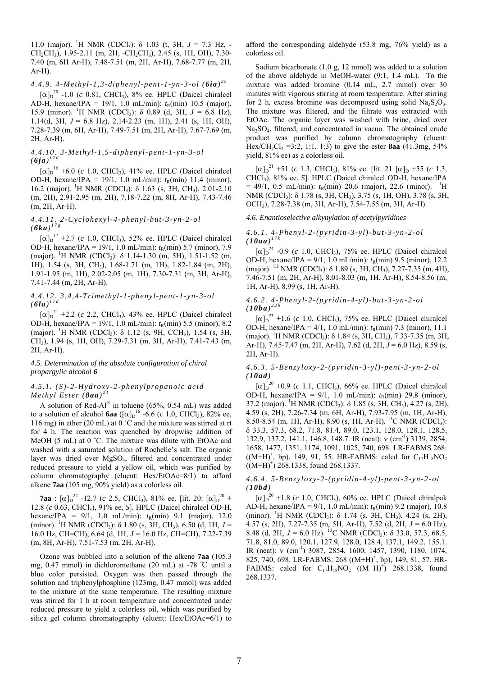11.0 (major). <sup>1</sup>H NMR (CDCl<sub>3</sub>): δ 1.03 (t, 3H,  $J = 7.3$  Hz, - $CH_2CH_3$ ), 1.95-2.11 (m, 2H, -CH<sub>2</sub>CH<sub>3</sub>), 2.45 (s, 1H, OH), 7.30-7.40 (m, 6H Ar-H), 7.48-7.51 (m, 2H, Ar-H), 7.68-7.77 (m, 2H, Ar-H).

*4.4.9. 4-Methyl-1,3-diphenyl-pent-1-yn-3-ol (6ia) 2 5*  $[\alpha]_D^{20}$  -1.0 (*c* 0.81, CHCl<sub>3</sub>), 8% ee. HPLC (Daicel chiralcel

AD-H, hexane/IPA = 19/1, 1.0 mL/min):  $t_R$ (min) 10.5 (major), 15.9 (minor). <sup>1</sup>H NMR (CDCl<sub>3</sub>): δ 0.89 (d, 3H,  $J = 6.8$  Hz), 1.14(d, 3H, *J* = 6.8 Hz), 2.14-2.23 (m, 1H), 2.41 (s, 1H, OH), 7.28-7.39 (m, 6H, Ar-H), 7.49-7.51 (m, 2H, Ar-H), 7.67-7.69 (m, 2H, Ar-H).

## *4.4.10. 3-Methyl-1,5-diphenyl-pent-1-yn-3-ol*   $(6ja)^{17d}$

 $[\alpha]_D^{16}$  +6.0 (*c* 1.0, CHCl<sub>3</sub>), 41% ee. HPLC (Daicel chiralcel OD-H, hexane/IPA = 19/1, 1.0 mL/min):  $t_R$ (min) 11.4 (minor), 16.2 (major). <sup>1</sup>H NMR (CDCl<sub>3</sub>): δ 1.63 (s, 3H, CH<sub>3</sub>), 2.01-2.10 (m, 2H), 2.91-2.95 (m, 2H), 7,18-7.22 (m, 8H, Ar-H), 7.43-7.46 (m, 2H, Ar-H).

## *4.4.11. 2-Cyclohexyl-4-phenyl-but-3-yn-2-ol*   $(6ka)^{17g}$

 $[\alpha]_{D}^{17}$  +2.7 (*c* 1.0, CHCl<sub>3</sub>), 52% ee. HPLC (Daicel chiralcel OD-H, hexane/IPA = 19/1, 1.0 mL/min):  $t_R(\text{min})$  5.7 (minor), 7.9 (major). <sup>1</sup>H NMR (CDCl<sub>3</sub>): δ 1.14-1.30 (m, 5H), 1.51-1.52 (m, 1H), 1.54 (s, 3H, CH3), 1.68-1.71 (m, 1H), 1.82-1.84 (m, 2H), 1.91-1.95 (m, 1H), 2.02-2.05 (m, 1H), 7.30-7.31 (m, 3H, Ar-H), 7.41-7.44 (m, 2H, Ar-H).

## *4.4.12. 3,4,4-Trimethyl-1-phenyl-pent-1-yn-3-ol*   $(6la)^{17d}$

 $[\alpha]_D^{21}$  +2.2 (*c* 2.2, CHCl<sub>3</sub>), 43% ee. HPLC (Daicel chiralcel OD-H, hexane/IPA = 19/1, 1.0 mL/min):  $t_R$ (min) 5.5 (minor), 8.2 (major). <sup>1</sup>H NMR (CDCl<sub>3</sub>): δ 1.12 (s, 9H, CCH<sub>3</sub>), 1.54 (s, 3H, CH3), 1.94 (s, 1H, OH), 7.29-7.31 (m, 3H, Ar-H), 7.41-7.43 (m, 2H, Ar-H).

## *4.5. Determination of the absolute configuration of chiral propargylic alcohol 6*

## *4.5.1. (S)-2-Hydroxy-2-phenylpropanoic acid Methyl Ester (8aa) 2 1*

A solution of Red-Al<sup>®</sup> in toluene (65%, 0.54 mL) was added to a solution of alcohol **6aa** ( $[\alpha]_D^{16}$  -6.6 (*c* 1.0, CHCl<sub>3</sub>), 82% ee, 116 mg) in ether (20 mL) at 0 ˚C and the mixture was stirred at rt for 4 h. The reaction was quenched by dropwise addition of MeOH (5 mL) at 0 °C. The mixture was dilute with EtOAc and washed with a saturated solution of Rochelle's salt. The organic layer was dried over MgSO4, filtered and concentrated under reduced pressure to yield a yellow oil, which was purified by column chromatography (eluent: Hex/EtOAc=8/1) to afford alkene **7aa** (105 mg, 90% yield) as a colorless oil.

**7aa** :  $[\alpha]_D^{22}$  -12.7 (*c* 2.5, CHCl<sub>3</sub>), 81% ee. [lit. 20:  $[\alpha]_D^{20}$  + 12.8 (*c* 0.63, CHCl3), 91% ee, *S*]. HPLC (Daicel chiralcel OD-H, hexane/IPA =  $9/1$ , 1.0 mL/min):  $t_R$ (min) 9.1 (major), 12.0 (minor). <sup>1</sup>H NMR (CDCl<sub>3</sub>):  $\delta$  1.80 (s, 3H, CH<sub>3</sub>), 6.50 (d, 1H, *J* = 16.0 Hz, CH=CH), 6.64 (d, 1H, *J* = 16.0 Hz, CH=CH), 7.22-7.39 (m, 8H, Ar-H), 7.51-7.53 (m, 2H, Ar-H).

Ozone was bubbled into a solution of the alkene **7aa** (105.3 mg, 0.47 mmol) in dichloromethane (20 mL) at -78 ℃ until a blue color persisted. Oxygen was then passed through the solution and triphenylphosphine (123mg, 0.47 mmol) was added to the mixture at the same temperature. The resulting mixture was stirred for 1 h at room temperature and concentrated under reduced pressure to yield a colorless oil, which was purified by silica gel column chromatography (eluent: Hex/EtOAc=6/1) to afford the corresponding aldehyde (53.8 mg, 76% yield) as a colorless oil.

Sodium bicarbonate (1.0 g, 12 mmol) was added to a solution of the above aldehyde in MeOH-water (9:1, 1.4 mL). To the mixture was added bromine (0.14 mL, 2.7 mmol) over 30 minutes with vigorous stirring at room temperature. After stirring for 2 h, excess bromine was decomposed using solid  $Na<sub>2</sub>S<sub>2</sub>O<sub>3</sub>$ . The mixture was filtered, and the filtrate was extracted with EtOAc. The organic layer was washed with brine, dried over Na<sub>2</sub>SO<sub>4</sub>, filtered, and concentrated in vacuo. The obtained crude product was purified by column chromatography (eluent: Hex/CH<sub>2</sub>Cl<sub>2</sub> =3:2, 1:1, 1:3) to give the ester **8aa** (41.3mg, 54%) yield, 81% ee) as a colorless oil.

 $[\alpha]_{\text{D}}^{21}$  +51 (*c* 1.3, CHCl<sub>3</sub>), 81% ee. [lit. 21 [ $\alpha$ ]<sub>D</sub> +55 (*c* 1.3, CHCl3), 81% ee, *S*]. HPLC (Daicel chiralcel OD-H, hexane/IPA  $= 49/1, 0.5$  mL/min):  $t_R(\text{min})$  20.6 (major), 22.6 (minor). <sup>1</sup>H NMR (CDCl<sub>3</sub>): δ 1.78 (s, 3H, CH<sub>3</sub>), 3.75 (s, 1H, OH), 3.78 (s, 3H, OCH3), 7.28-7.38 (m, 3H, Ar-H), 7.54-7.55 (m, 3H, Ar-H).

#### *4.6. Enantioselective alkynylation of acetylpyridines*

## *4.6.1. 4-Phenyl-2-(pyridin-3-yl)-but-3-yn-2-ol*   $(10aa)^{17k}$

 $[\alpha]_{D}^{24}$  -0.9 (*c* 1.0, CHCl<sub>3</sub>), 75% ee. HPLC (Daicel chiralcel OD-H, hexane/IPA =  $9/1$ , 1.0 mL/min):  $t_R(\text{min})$  9.5 (minor), 12.2 (major). 1H NMR (CDCl3): δ 1.89 (s, 3H, CH3), 7.27-7.35 (m, 4H), 7.46-7.51 (m, 2H, Ar-H), 8.01-8.03 (m, 1H, Ar-H), 8.54-8.56 (m, 1H, Ar-H), 8.99 (s, 1H, Ar-H).

#### *4.6.2. 4-Phenyl-2-(pyridin-4-yl)-but-3-yn-2-ol*   $(10ba)^{22b}$

 $[\alpha]_D^{23}$  +1.6 (*c* 1.0, CHCl<sub>3</sub>), 75% ee. HPLC (Daicel chiralcel OD-H, hexane/IPA = 4/1, 1.0 mL/min):  $t_R(\text{min})$  7.3 (minor), 11.1 (major). <sup>1</sup>H NMR (CDCl<sub>3</sub>): δ 1.84 (s, 3H, CH<sub>3</sub>), 7.33-7.35 (m, 3H, Ar-H), 7.45-7.47 (m, 2H, Ar-H), 7.62 (d, 2H, *J* = 6.0 Hz), 8.59 (s, 2H, Ar-H).

## *4.6.3. 5-Benzyloxy-2-(pyridin-3-yl)-pent-3-yn-2-ol (10ad)*

 $[\alpha]_D^{20}$  +0.9 (*c* 1.1, CHCl<sub>3</sub>), 66% ee. HPLC (Daicel chiralcel OD-H, hexane/IPA =  $9/1$ , 1.0 mL/min):  $t_R$ (min) 29.8 (minor), 37.2 (major). <sup>1</sup>H NMR (CDCl<sub>3</sub>): δ 1.85 (s, 3H, CH<sub>3</sub>), 4.27 (s, 2H), 4.59 (s, 2H), 7.26-7.34 (m, 6H, Ar-H), 7.93-7.95 (m, 1H, Ar-H), 8.50-8.54 (m, 1H, Ar-H), 8.90 (s, 1H, Ar-H). <sup>13</sup>C NMR (CDCl<sub>3</sub>): δ 33.3, 57.3, 68.2, 71.8, 81.4, 89.0, 123.1, 128.0, 128.1, 128.5, 132.9, 137.2, 141.1, 146.8, 148.7. IR (neat): v (cm<sup>-1</sup>) 3139, 2854, 1658, 1477, 1351, 1174, 1091, 1025, 740, 698. LR-FABMS 268:  $((M+H)^{+}$ , bp), 149, 91, 55. HR-FABMS: calcd for C<sub>17</sub>H<sub>18</sub>NO<sub>2</sub>  $((M+H)<sup>+</sup>)$  268.1338, found 268.1337.

*4.6.4. 5-Benzyloxy-2-(pyridin-4-yl)-pent-3-yn-2-ol (10bd)* 

 $[\alpha]_D^{20}$  +1.8 (*c* 1.0, CHCl<sub>3</sub>), 60% ee. HPLC (Daicel chiralpak AD-H, hexane/IPA =  $9/1$ , 1.0 mL/min):  $t_R$ (min) 9.2 (major), 10.8 (minor). <sup>1</sup>H NMR (CDCl<sub>3</sub>): δ 1.74 (s, 3H, CH<sub>3</sub>), 4.24 (s, 2H), 4.57 (s, 2H), 7.27-7.35 (m, 5H, Ar-H), 7.52 (d, 2H, *J* = 6.0 Hz), 8.48 (d, 2H,  $J = 6.0$  Hz). <sup>13</sup>C NMR (CDCl<sub>3</sub>):  $\delta$  33.0, 57.3, 68.5, 71.8, 81.0, 89.0, 120.1, 127.9, 128.0, 128.4, 137.1, 149.2, 155.1. IR (neat): v (cm<sup>-1</sup>) 3087, 2854, 1600, 1457, 1390, 1180, 1074, 825, 740, 698. LR-FABMS: 268 ((M+H)<sup>+</sup>, bp), 149, 81, 57. HR-FABMS: calcd for  $C_{17}H_{18}NO_2$   $((M+H)^+)$  268.1338, found 268.1337.